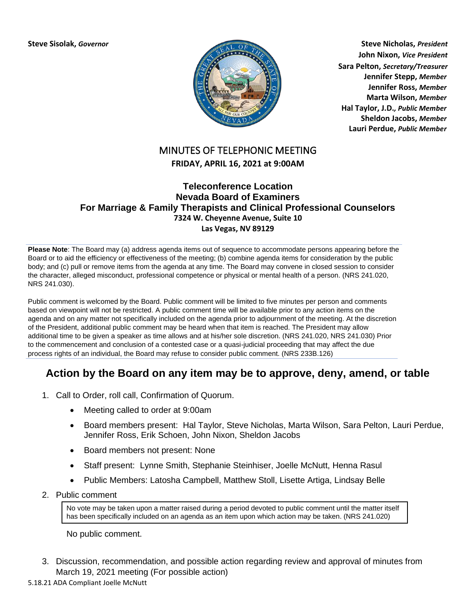

**Steve Sisolak,** *Governor* **Steve Nicholas,** *President* **John Nixon,** *Vice President* **Sara Pelton,** *Secretary/Treasurer* **Jennifer Stepp,** *Member* **Jennifer Ross,** *Member* **Marta Wilson,** *Member* **Hal Taylor, J.D.***, Public Member* **Sheldon Jacobs,** *Member* **Lauri Perdue,** *Public Member*

# MINUTES OF TELEPHONIC MEETING

# **FRIDAY, APRIL 16, 2021 at 9:00AM**

## **Teleconference Location Nevada Board of Examiners For Marriage & Family Therapists and Clinical Professional Counselors 7324 W. Cheyenne Avenue, Suite 10 Las Vegas, NV 89129**

**Please Note**: The Board may (a) address agenda items out of sequence to accommodate persons appearing before the Board or to aid the efficiency or effectiveness of the meeting; (b) combine agenda items for consideration by the public body; and (c) pull or remove items from the agenda at any time. The Board may convene in closed session to consider the character, alleged misconduct, professional competence or physical or mental health of a person. (NRS 241.020, NRS 241.030).

Public comment is welcomed by the Board. Public comment will be limited to five minutes per person and comments based on viewpoint will not be restricted. A public comment time will be available prior to any action items on the agenda and on any matter not specifically included on the agenda prior to adjournment of the meeting. At the discretion of the President, additional public comment may be heard when that item is reached. The President may allow additional time to be given a speaker as time allows and at his/her sole discretion. (NRS 241.020, NRS 241.030) Prior to the commencement and conclusion of a contested case or a quasi-judicial proceeding that may affect the due process rights of an individual, the Board may refuse to consider public comment. (NRS 233B.126)

# **Action by the Board on any item may be to approve, deny, amend, or table**

- 1. Call to Order, roll call, Confirmation of Quorum.
	- Meeting called to order at 9:00am
	- Board members present: Hal Taylor, Steve Nicholas, Marta Wilson, Sara Pelton, Lauri Perdue, Jennifer Ross, Erik Schoen, John Nixon, Sheldon Jacobs
	- Board members not present: None
	- Staff present: Lynne Smith, Stephanie Steinhiser, Joelle McNutt, Henna Rasul
	- Public Members: Latosha Campbell, Matthew Stoll, Lisette Artiga, Lindsay Belle
- 2. Public comment

No vote may be taken upon a matter raised during a period devoted to public comment until the matter itself has been specifically included on an agenda as an item upon which action may be taken. (NRS 241.020)

No public comment.

3. Discussion, recommendation, and possible action regarding review and approval of minutes from March 19, 2021 meeting (For possible action)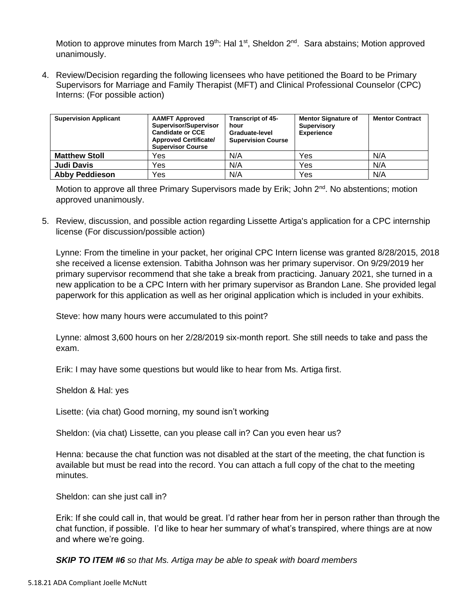Motion to approve minutes from March 19<sup>th</sup>: Hal 1<sup>st</sup>, Sheldon  $2^{nd}$ . Sara abstains; Motion approved unanimously.

4. Review/Decision regarding the following licensees who have petitioned the Board to be Primary Supervisors for Marriage and Family Therapist (MFT) and Clinical Professional Counselor (CPC) Interns: (For possible action)

| <b>Supervision Applicant</b> | <b>AAMFT Approved</b><br>Supervisor/Supervisor<br><b>Candidate or CCE</b><br><b>Approved Certificate/</b><br><b>Supervisor Course</b> | <b>Transcript of 45-</b><br>hour<br>Graduate-level<br><b>Supervision Course</b> | <b>Mentor Signature of</b><br>Supervisory<br><b>Experience</b> | <b>Mentor Contract</b> |
|------------------------------|---------------------------------------------------------------------------------------------------------------------------------------|---------------------------------------------------------------------------------|----------------------------------------------------------------|------------------------|
| <b>Matthew Stoll</b>         | Yes                                                                                                                                   | N/A                                                                             | Yes                                                            | N/A                    |
| <b>Judi Davis</b>            | Yes                                                                                                                                   | N/A                                                                             | Yes                                                            | N/A                    |
| <b>Abby Peddieson</b>        | Yes                                                                                                                                   | N/A                                                                             | Yes                                                            | N/A                    |

Motion to approve all three Primary Supervisors made by Erik; John  $2^{nd}$ . No abstentions; motion approved unanimously.

5. Review, discussion, and possible action regarding Lissette Artiga's application for a CPC internship license (For discussion/possible action)

Lynne: From the timeline in your packet, her original CPC Intern license was granted 8/28/2015, 2018 she received a license extension. Tabitha Johnson was her primary supervisor. On 9/29/2019 her primary supervisor recommend that she take a break from practicing. January 2021, she turned in a new application to be a CPC Intern with her primary supervisor as Brandon Lane. She provided legal paperwork for this application as well as her original application which is included in your exhibits.

Steve: how many hours were accumulated to this point?

Lynne: almost 3,600 hours on her 2/28/2019 six-month report. She still needs to take and pass the exam.

Erik: I may have some questions but would like to hear from Ms. Artiga first.

Sheldon & Hal: yes

Lisette: (via chat) Good morning, my sound isn't working

Sheldon: (via chat) Lissette, can you please call in? Can you even hear us?

Henna: because the chat function was not disabled at the start of the meeting, the chat function is available but must be read into the record. You can attach a full copy of the chat to the meeting minutes.

Sheldon: can she just call in?

Erik: If she could call in, that would be great. I'd rather hear from her in person rather than through the chat function, if possible. I'd like to hear her summary of what's transpired, where things are at now and where we're going.

*SKIP TO ITEM #6 so that Ms. Artiga may be able to speak with board members*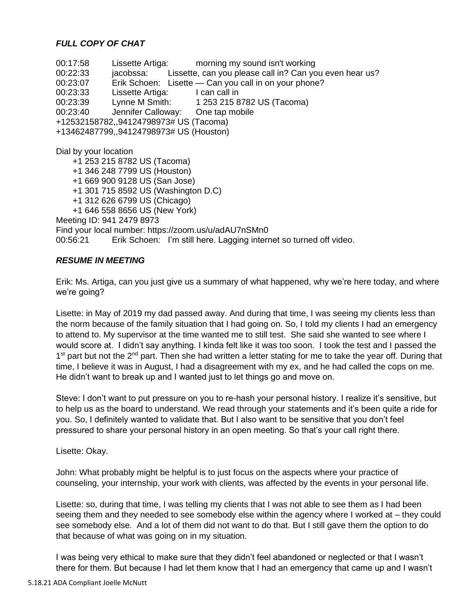# *FULL COPY OF CHAT*

00:17:58 Lissette Artiga: morning my sound isn't working 00:22:33 jacobssa: Lissette, can you please call in? Can you even hear us? 00:23:07 Erik Schoen: Lisette — Can you call in on your phone? 00:23:33 Lissette Artiga: I can call in 00:23:39 Lynne M Smith: 1 253 215 8782 US (Tacoma) 00:23:40 Jennifer Calloway: One tap mobile +12532158782,,94124798973# US (Tacoma) +13462487799,,94124798973# US (Houston) Dial by your location +1 253 215 8782 US (Tacoma) +1 346 248 7799 US (Houston) +1 669 900 9128 US (San Jose) +1 301 715 8592 US (Washington D.C) +1 312 626 6799 US (Chicago) +1 646 558 8656 US (New York) Meeting ID: 941 2479 8973 Find your local number: https://zoom.us/u/adAU7nSMn0 00:56:21 Erik Schoen: I'm still here. Lagging internet so turned off video.

## *RESUME IN MEETING*

Erik: Ms. Artiga, can you just give us a summary of what happened, why we're here today, and where we're going?

Lisette: in May of 2019 my dad passed away. And during that time, I was seeing my clients less than the norm because of the family situation that I had going on. So, I told my clients I had an emergency to attend to. My supervisor at the time wanted me to still test. She said she wanted to see where I would score at. I didn't say anything. I kinda felt like it was too soon. I took the test and I passed the 1<sup>st</sup> part but not the 2<sup>nd</sup> part. Then she had written a letter stating for me to take the year off. During that time, I believe it was in August, I had a disagreement with my ex, and he had called the cops on me. He didn't want to break up and I wanted just to let things go and move on.

Steve: I don't want to put pressure on you to re-hash your personal history. I realize it's sensitive, but to help us as the board to understand. We read through your statements and it's been quite a ride for you. So, I definitely wanted to validate that. But I also want to be sensitive that you don't feel pressured to share your personal history in an open meeting. So that's your call right there.

Lisette: Okay.

John: What probably might be helpful is to just focus on the aspects where your practice of counseling, your internship, your work with clients, was affected by the events in your personal life.

Lisette: so, during that time, I was telling my clients that I was not able to see them as I had been seeing them and they needed to see somebody else within the agency where I worked at – they could see somebody else. And a lot of them did not want to do that. But I still gave them the option to do that because of what was going on in my situation.

I was being very ethical to make sure that they didn't feel abandoned or neglected or that I wasn't there for them. But because I had let them know that I had an emergency that came up and I wasn't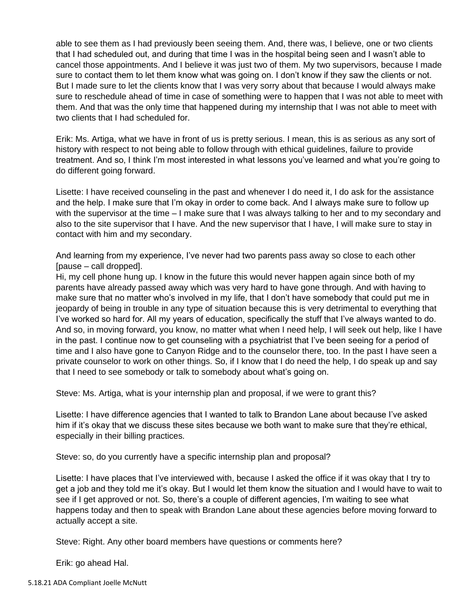able to see them as I had previously been seeing them. And, there was, I believe, one or two clients that I had scheduled out, and during that time I was in the hospital being seen and I wasn't able to cancel those appointments. And I believe it was just two of them. My two supervisors, because I made sure to contact them to let them know what was going on. I don't know if they saw the clients or not. But I made sure to let the clients know that I was very sorry about that because I would always make sure to reschedule ahead of time in case of something were to happen that I was not able to meet with them. And that was the only time that happened during my internship that I was not able to meet with two clients that I had scheduled for.

Erik: Ms. Artiga, what we have in front of us is pretty serious. I mean, this is as serious as any sort of history with respect to not being able to follow through with ethical guidelines, failure to provide treatment. And so, I think I'm most interested in what lessons you've learned and what you're going to do different going forward.

Lisette: I have received counseling in the past and whenever I do need it, I do ask for the assistance and the help. I make sure that I'm okay in order to come back. And I always make sure to follow up with the supervisor at the time – I make sure that I was always talking to her and to my secondary and also to the site supervisor that I have. And the new supervisor that I have, I will make sure to stay in contact with him and my secondary.

And learning from my experience, I've never had two parents pass away so close to each other [pause – call dropped].

Hi, my cell phone hung up. I know in the future this would never happen again since both of my parents have already passed away which was very hard to have gone through. And with having to make sure that no matter who's involved in my life, that I don't have somebody that could put me in jeopardy of being in trouble in any type of situation because this is very detrimental to everything that I've worked so hard for. All my years of education, specifically the stuff that I've always wanted to do. And so, in moving forward, you know, no matter what when I need help, I will seek out help, like I have in the past. I continue now to get counseling with a psychiatrist that I've been seeing for a period of time and I also have gone to Canyon Ridge and to the counselor there, too. In the past I have seen a private counselor to work on other things. So, if I know that I do need the help, I do speak up and say that I need to see somebody or talk to somebody about what's going on.

Steve: Ms. Artiga, what is your internship plan and proposal, if we were to grant this?

Lisette: I have difference agencies that I wanted to talk to Brandon Lane about because I've asked him if it's okay that we discuss these sites because we both want to make sure that they're ethical, especially in their billing practices.

Steve: so, do you currently have a specific internship plan and proposal?

Lisette: I have places that I've interviewed with, because I asked the office if it was okay that I try to get a job and they told me it's okay. But I would let them know the situation and I would have to wait to see if I get approved or not. So, there's a couple of different agencies, I'm waiting to see what happens today and then to speak with Brandon Lane about these agencies before moving forward to actually accept a site.

Steve: Right. Any other board members have questions or comments here?

Erik: go ahead Hal.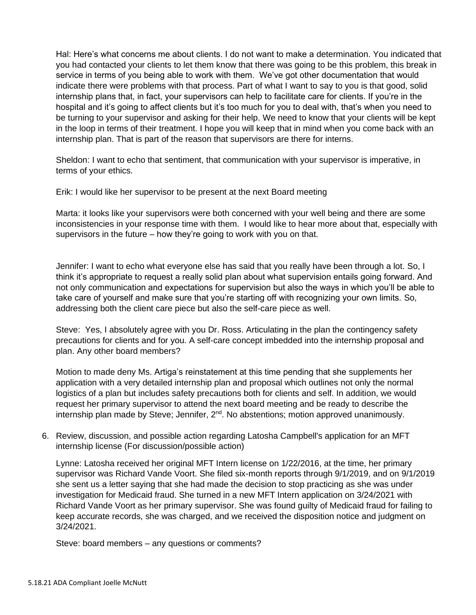Hal: Here's what concerns me about clients. I do not want to make a determination. You indicated that you had contacted your clients to let them know that there was going to be this problem, this break in service in terms of you being able to work with them. We've got other documentation that would indicate there were problems with that process. Part of what I want to say to you is that good, solid internship plans that, in fact, your supervisors can help to facilitate care for clients. If you're in the hospital and it's going to affect clients but it's too much for you to deal with, that's when you need to be turning to your supervisor and asking for their help. We need to know that your clients will be kept in the loop in terms of their treatment. I hope you will keep that in mind when you come back with an internship plan. That is part of the reason that supervisors are there for interns.

Sheldon: I want to echo that sentiment, that communication with your supervisor is imperative, in terms of your ethics.

Erik: I would like her supervisor to be present at the next Board meeting

Marta: it looks like your supervisors were both concerned with your well being and there are some inconsistencies in your response time with them. I would like to hear more about that, especially with supervisors in the future – how they're going to work with you on that.

Jennifer: I want to echo what everyone else has said that you really have been through a lot. So, I think it's appropriate to request a really solid plan about what supervision entails going forward. And not only communication and expectations for supervision but also the ways in which you'll be able to take care of yourself and make sure that you're starting off with recognizing your own limits. So, addressing both the client care piece but also the self-care piece as well.

Steve: Yes, I absolutely agree with you Dr. Ross. Articulating in the plan the contingency safety precautions for clients and for you. A self-care concept imbedded into the internship proposal and plan. Any other board members?

Motion to made deny Ms. Artiga's reinstatement at this time pending that she supplements her application with a very detailed internship plan and proposal which outlines not only the normal logistics of a plan but includes safety precautions both for clients and self. In addition, we would request her primary supervisor to attend the next board meeting and be ready to describe the internship plan made by Steve; Jennifer, 2<sup>nd</sup>. No abstentions; motion approved unanimously.

6. Review, discussion, and possible action regarding Latosha Campbell's application for an MFT internship license (For discussion/possible action)

Lynne: Latosha received her original MFT Intern license on 1/22/2016, at the time, her primary supervisor was Richard Vande Voort. She filed six-month reports through 9/1/2019, and on 9/1/2019 she sent us a letter saying that she had made the decision to stop practicing as she was under investigation for Medicaid fraud. She turned in a new MFT Intern application on 3/24/2021 with Richard Vande Voort as her primary supervisor. She was found guilty of Medicaid fraud for failing to keep accurate records, she was charged, and we received the disposition notice and judgment on 3/24/2021.

Steve: board members – any questions or comments?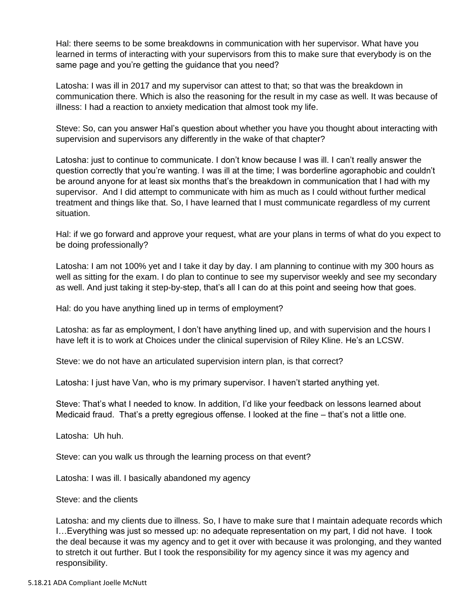Hal: there seems to be some breakdowns in communication with her supervisor. What have you learned in terms of interacting with your supervisors from this to make sure that everybody is on the same page and you're getting the guidance that you need?

Latosha: I was ill in 2017 and my supervisor can attest to that; so that was the breakdown in communication there. Which is also the reasoning for the result in my case as well. It was because of illness: I had a reaction to anxiety medication that almost took my life.

Steve: So, can you answer Hal's question about whether you have you thought about interacting with supervision and supervisors any differently in the wake of that chapter?

Latosha: just to continue to communicate. I don't know because I was ill. I can't really answer the question correctly that you're wanting. I was ill at the time; I was borderline agoraphobic and couldn't be around anyone for at least six months that's the breakdown in communication that I had with my supervisor. And I did attempt to communicate with him as much as I could without further medical treatment and things like that. So, I have learned that I must communicate regardless of my current situation.

Hal: if we go forward and approve your request, what are your plans in terms of what do you expect to be doing professionally?

Latosha: I am not 100% yet and I take it day by day. I am planning to continue with my 300 hours as well as sitting for the exam. I do plan to continue to see my supervisor weekly and see my secondary as well. And just taking it step-by-step, that's all I can do at this point and seeing how that goes.

Hal: do you have anything lined up in terms of employment?

Latosha: as far as employment, I don't have anything lined up, and with supervision and the hours I have left it is to work at Choices under the clinical supervision of Riley Kline. He's an LCSW.

Steve: we do not have an articulated supervision intern plan, is that correct?

Latosha: I just have Van, who is my primary supervisor. I haven't started anything yet.

Steve: That's what I needed to know. In addition, I'd like your feedback on lessons learned about Medicaid fraud. That's a pretty egregious offense. I looked at the fine – that's not a little one.

Latosha: Uh huh.

Steve: can you walk us through the learning process on that event?

Latosha: I was ill. I basically abandoned my agency

Steve: and the clients

Latosha: and my clients due to illness. So, I have to make sure that I maintain adequate records which I…Everything was just so messed up: no adequate representation on my part, I did not have. I took the deal because it was my agency and to get it over with because it was prolonging, and they wanted to stretch it out further. But I took the responsibility for my agency since it was my agency and responsibility.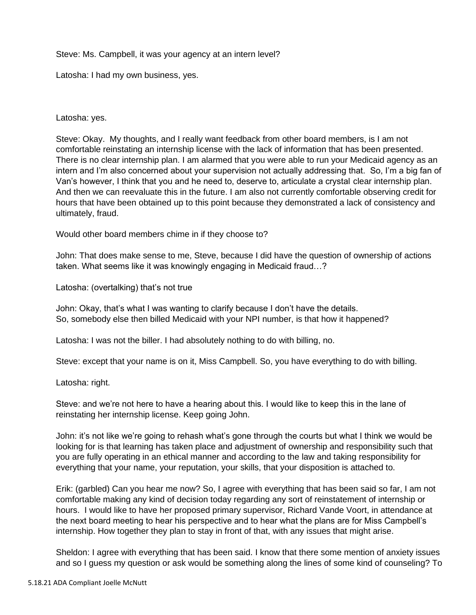Steve: Ms. Campbell, it was your agency at an intern level?

Latosha: I had my own business, yes.

Latosha: yes.

Steve: Okay. My thoughts, and I really want feedback from other board members, is I am not comfortable reinstating an internship license with the lack of information that has been presented. There is no clear internship plan. I am alarmed that you were able to run your Medicaid agency as an intern and I'm also concerned about your supervision not actually addressing that. So, I'm a big fan of Van's however, I think that you and he need to, deserve to, articulate a crystal clear internship plan. And then we can reevaluate this in the future. I am also not currently comfortable observing credit for hours that have been obtained up to this point because they demonstrated a lack of consistency and ultimately, fraud.

Would other board members chime in if they choose to?

John: That does make sense to me, Steve, because I did have the question of ownership of actions taken. What seems like it was knowingly engaging in Medicaid fraud…?

Latosha: (overtalking) that's not true

John: Okay, that's what I was wanting to clarify because I don't have the details. So, somebody else then billed Medicaid with your NPI number, is that how it happened?

Latosha: I was not the biller. I had absolutely nothing to do with billing, no.

Steve: except that your name is on it, Miss Campbell. So, you have everything to do with billing.

Latosha: right.

Steve: and we're not here to have a hearing about this. I would like to keep this in the lane of reinstating her internship license. Keep going John.

John: it's not like we're going to rehash what's gone through the courts but what I think we would be looking for is that learning has taken place and adjustment of ownership and responsibility such that you are fully operating in an ethical manner and according to the law and taking responsibility for everything that your name, your reputation, your skills, that your disposition is attached to.

Erik: (garbled) Can you hear me now? So, I agree with everything that has been said so far, I am not comfortable making any kind of decision today regarding any sort of reinstatement of internship or hours. I would like to have her proposed primary supervisor, Richard Vande Voort, in attendance at the next board meeting to hear his perspective and to hear what the plans are for Miss Campbell's internship. How together they plan to stay in front of that, with any issues that might arise.

Sheldon: I agree with everything that has been said. I know that there some mention of anxiety issues and so I guess my question or ask would be something along the lines of some kind of counseling? To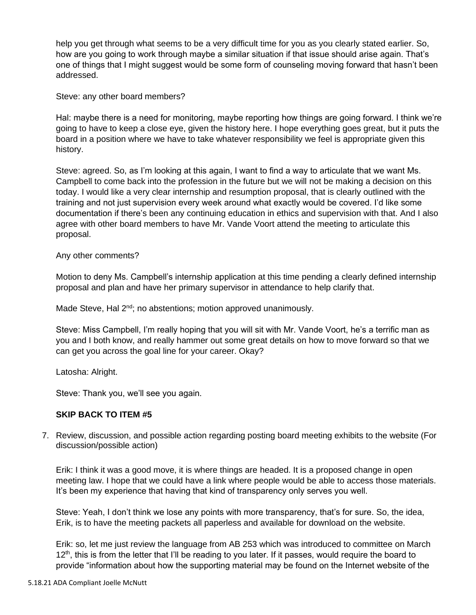help you get through what seems to be a very difficult time for you as you clearly stated earlier. So, how are you going to work through maybe a similar situation if that issue should arise again. That's one of things that I might suggest would be some form of counseling moving forward that hasn't been addressed.

Steve: any other board members?

Hal: maybe there is a need for monitoring, maybe reporting how things are going forward. I think we're going to have to keep a close eye, given the history here. I hope everything goes great, but it puts the board in a position where we have to take whatever responsibility we feel is appropriate given this history.

Steve: agreed. So, as I'm looking at this again, I want to find a way to articulate that we want Ms. Campbell to come back into the profession in the future but we will not be making a decision on this today. I would like a very clear internship and resumption proposal, that is clearly outlined with the training and not just supervision every week around what exactly would be covered. I'd like some documentation if there's been any continuing education in ethics and supervision with that. And I also agree with other board members to have Mr. Vande Voort attend the meeting to articulate this proposal.

Any other comments?

Motion to deny Ms. Campbell's internship application at this time pending a clearly defined internship proposal and plan and have her primary supervisor in attendance to help clarify that.

Made Steve, Hal 2<sup>nd</sup>; no abstentions; motion approved unanimously.

Steve: Miss Campbell, I'm really hoping that you will sit with Mr. Vande Voort, he's a terrific man as you and I both know, and really hammer out some great details on how to move forward so that we can get you across the goal line for your career. Okay?

Latosha: Alright.

Steve: Thank you, we'll see you again.

## **SKIP BACK TO ITEM #5**

7. Review, discussion, and possible action regarding posting board meeting exhibits to the website (For discussion/possible action)

Erik: I think it was a good move, it is where things are headed. It is a proposed change in open meeting law. I hope that we could have a link where people would be able to access those materials. It's been my experience that having that kind of transparency only serves you well.

Steve: Yeah, I don't think we lose any points with more transparency, that's for sure. So, the idea, Erik, is to have the meeting packets all paperless and available for download on the website.

Erik: so, let me just review the language from AB 253 which was introduced to committee on March  $12<sup>th</sup>$ , this is from the letter that I'll be reading to you later. If it passes, would require the board to provide "information about how the supporting material may be found on the Internet website of the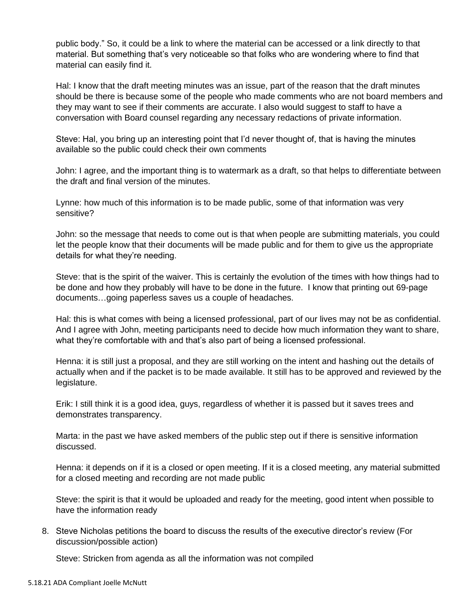public body." So, it could be a link to where the material can be accessed or a link directly to that material. But something that's very noticeable so that folks who are wondering where to find that material can easily find it.

Hal: I know that the draft meeting minutes was an issue, part of the reason that the draft minutes should be there is because some of the people who made comments who are not board members and they may want to see if their comments are accurate. I also would suggest to staff to have a conversation with Board counsel regarding any necessary redactions of private information.

Steve: Hal, you bring up an interesting point that I'd never thought of, that is having the minutes available so the public could check their own comments

John: I agree, and the important thing is to watermark as a draft, so that helps to differentiate between the draft and final version of the minutes.

Lynne: how much of this information is to be made public, some of that information was very sensitive?

John: so the message that needs to come out is that when people are submitting materials, you could let the people know that their documents will be made public and for them to give us the appropriate details for what they're needing.

Steve: that is the spirit of the waiver. This is certainly the evolution of the times with how things had to be done and how they probably will have to be done in the future. I know that printing out 69-page documents…going paperless saves us a couple of headaches.

Hal: this is what comes with being a licensed professional, part of our lives may not be as confidential. And I agree with John, meeting participants need to decide how much information they want to share, what they're comfortable with and that's also part of being a licensed professional.

Henna: it is still just a proposal, and they are still working on the intent and hashing out the details of actually when and if the packet is to be made available. It still has to be approved and reviewed by the legislature.

Erik: I still think it is a good idea, guys, regardless of whether it is passed but it saves trees and demonstrates transparency.

Marta: in the past we have asked members of the public step out if there is sensitive information discussed.

Henna: it depends on if it is a closed or open meeting. If it is a closed meeting, any material submitted for a closed meeting and recording are not made public

Steve: the spirit is that it would be uploaded and ready for the meeting, good intent when possible to have the information ready

8. Steve Nicholas petitions the board to discuss the results of the executive director's review (For discussion/possible action)

Steve: Stricken from agenda as all the information was not compiled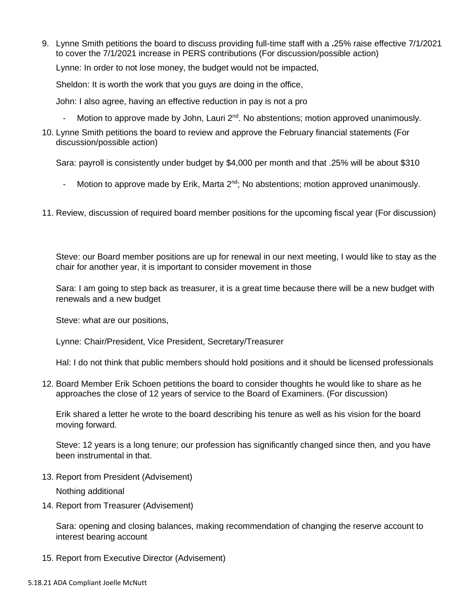9. Lynne Smith petitions the board to discuss providing full-time staff with a **.**25% raise effective 7/1/2021 to cover the 7/1/2021 increase in PERS contributions (For discussion/possible action)

Lynne: In order to not lose money, the budget would not be impacted,

Sheldon: It is worth the work that you guys are doing in the office,

John: I also agree, having an effective reduction in pay is not a pro

- Motion to approve made by John, Lauri  $2^{nd}$ . No abstentions; motion approved unanimously.
- 10. Lynne Smith petitions the board to review and approve the February financial statements (For discussion/possible action)

Sara: payroll is consistently under budget by \$4,000 per month and that .25% will be about \$310

- Motion to approve made by Erik, Marta  $2^{nd}$ ; No abstentions; motion approved unanimously.
- 11. Review, discussion of required board member positions for the upcoming fiscal year (For discussion)

Steve: our Board member positions are up for renewal in our next meeting, I would like to stay as the chair for another year, it is important to consider movement in those

Sara: I am going to step back as treasurer, it is a great time because there will be a new budget with renewals and a new budget

Steve: what are our positions,

Lynne: Chair/President, Vice President, Secretary/Treasurer

Hal: I do not think that public members should hold positions and it should be licensed professionals

12. Board Member Erik Schoen petitions the board to consider thoughts he would like to share as he approaches the close of 12 years of service to the Board of Examiners. (For discussion)

Erik shared a letter he wrote to the board describing his tenure as well as his vision for the board moving forward.

Steve: 12 years is a long tenure; our profession has significantly changed since then, and you have been instrumental in that.

13. Report from President (Advisement)

Nothing additional

14. Report from Treasurer (Advisement)

Sara: opening and closing balances, making recommendation of changing the reserve account to interest bearing account

15. Report from Executive Director (Advisement)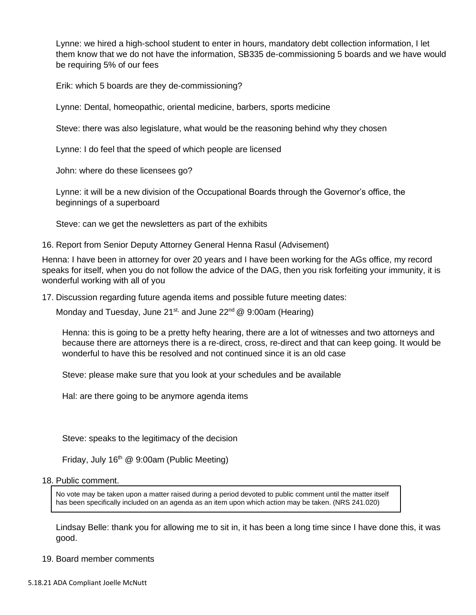Lynne: we hired a high-school student to enter in hours, mandatory debt collection information, I let them know that we do not have the information, SB335 de-commissioning 5 boards and we have would be requiring 5% of our fees

Erik: which 5 boards are they de-commissioning?

Lynne: Dental, homeopathic, oriental medicine, barbers, sports medicine

Steve: there was also legislature, what would be the reasoning behind why they chosen

Lynne: I do feel that the speed of which people are licensed

John: where do these licensees go?

Lynne: it will be a new division of the Occupational Boards through the Governor's office, the beginnings of a superboard

Steve: can we get the newsletters as part of the exhibits

16. Report from Senior Deputy Attorney General Henna Rasul (Advisement)

Henna: I have been in attorney for over 20 years and I have been working for the AGs office, my record speaks for itself, when you do not follow the advice of the DAG, then you risk forfeiting your immunity, it is wonderful working with all of you

17. Discussion regarding future agenda items and possible future meeting dates:

Monday and Tuesday, June 21st, and June 22<sup>nd</sup>  $@9:00am$  (Hearing)

Henna: this is going to be a pretty hefty hearing, there are a lot of witnesses and two attorneys and because there are attorneys there is a re-direct, cross, re-direct and that can keep going. It would be wonderful to have this be resolved and not continued since it is an old case

Steve: please make sure that you look at your schedules and be available

Hal: are there going to be anymore agenda items

Steve: speaks to the legitimacy of the decision

Friday, July 16<sup>th</sup> @ 9:00am (Public Meeting)

#### 18. Public comment.

No vote may be taken upon a matter raised during a period devoted to public comment until the matter itself has been specifically included on an agenda as an item upon which action may be taken. (NRS 241.020)

Lindsay Belle: thank you for allowing me to sit in, it has been a long time since I have done this, it was good.

19. Board member comments